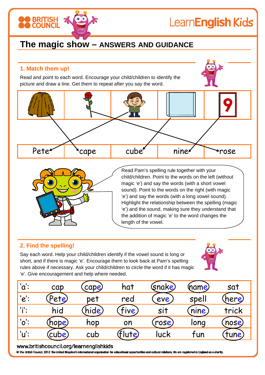# LearnEnglish Kids

# **The magic show – ANSWERS AND GUIDANCE**

# **1. Match them up!**

**BRITISH** 

Read and point to each word. Encourage your child/children to identify the picture and draw a line. Get them to repeat after you say the word.

Pete rose cube inner rose



Read Pam's spelling rule together with your child/children. Point to the words on the left (without magic 'e') and say the words (with a short vowel sound). Point to the words on the right (with magic 'e') and say the words (with a long vowel sound). Highlight the relationship between the spelling (magic 'e') and the sound, making sure they understand that the addition of magic 'e' to the word changes the length of the vowel.

# **2. Find the spelling!**

Say each word. Help your child/children identify if the vowel sound is long or short, and if there is magic 'e'. Encourage them to look back at Pam's spelling rules above if necessary. Ask your child/children to circle the word if it has magic 'e'. Give encouragement and help where needed.



| <u>'α'</u> :                | cap   | cape) | hat   | (snake)         | (name) | sat   |
|-----------------------------|-------|-------|-------|-----------------|--------|-------|
| $'e$ :                      | Pete) | pet   | red   | eve             | spell  | (here |
| 'i':                        | hid   | hide) | Five) | sit             | (nine) | trick |
| $^{\prime}$ o $^{\prime}$ : | (hope | hop   | on    | $\mathsf{rose}$ | long   | nose) |
| ้'u':                       | cube) | cub   | ·lute | luck            | tun    | tune, |

#### www.britishcouncil.org/learnenglishkids

C The British Council, 2012 The United Kingdom's international organisation for educational opportunities and cultural relations. We are registered in England as a charity.